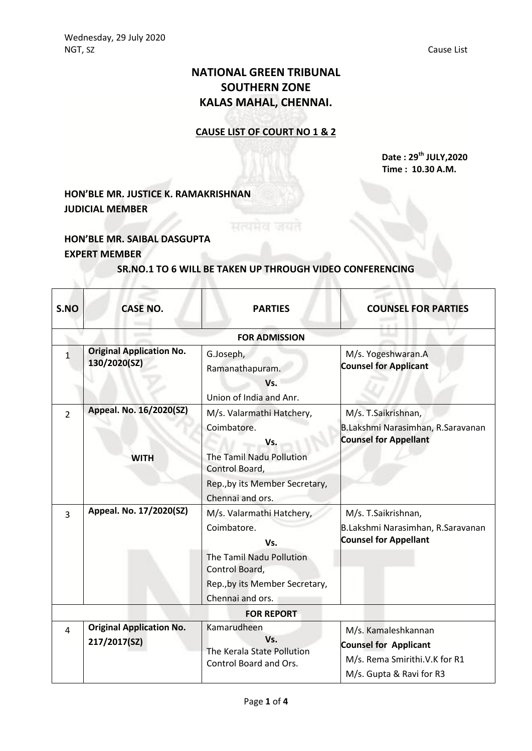# **NATIONAL GREEN TRIBUNAL SOUTHERN ZONE KALAS MAHAL, CHENNAI.**

### **CAUSE LIST OF COURT NO 1 & 2**

**Date : 29th JULY,2020 Time : 10.30 A.M.**

## **HON'BLE MR. JUSTICE K. RAMAKRISHNAN JUDICIAL MEMBER**

### **HON'BLE MR. SAIBAL DASGUPTA EXPERT MEMBER**

#### **SR.NO.1 TO 6 WILL BE TAKEN UP THROUGH VIDEO CONFERENCING**

सत्यमेव जयत

| S.NO           | <b>CASE NO.</b>                                 | <b>PARTIES</b>                                                                                                                                      | <b>COUNSEL FOR PARTIES</b>                                                                                       |
|----------------|-------------------------------------------------|-----------------------------------------------------------------------------------------------------------------------------------------------------|------------------------------------------------------------------------------------------------------------------|
|                |                                                 | <b>FOR ADMISSION</b>                                                                                                                                |                                                                                                                  |
| 1              | <b>Original Application No.</b><br>130/2020(SZ) | G.Joseph,<br>Ramanathapuram.<br>Vs.<br>Union of India and Anr.                                                                                      | M/s. Yogeshwaran.A<br><b>Counsel for Applicant</b>                                                               |
| $\overline{2}$ | Appeal. No. 16/2020(SZ)<br><b>WITH</b>          | M/s. Valarmathi Hatchery,<br>Coimbatore.<br>Vs.<br>The Tamil Nadu Pollution<br>Control Board,<br>Rep., by its Member Secretary,                     | M/s. T.Saikrishnan,<br>B.Lakshmi Narasimhan, R.Saravanan<br><b>Counsel for Appellant</b>                         |
| 3              | Appeal. No. 17/2020(SZ)                         | Chennai and ors.<br>M/s. Valarmathi Hatchery,<br>Coimbatore.<br>Vs.<br>The Tamil Nadu Pollution<br>Control Board,<br>Rep., by its Member Secretary, | M/s. T.Saikrishnan,<br>B.Lakshmi Narasimhan, R.Saravanan<br><b>Counsel for Appellant</b>                         |
|                |                                                 | Chennai and ors.<br><b>FOR REPORT</b>                                                                                                               |                                                                                                                  |
| 4              | <b>Original Application No.</b><br>217/2017(SZ) | Kamarudheen<br>Vs.<br>The Kerala State Pollution<br>Control Board and Ors.                                                                          | M/s. Kamaleshkannan<br><b>Counsel for Applicant</b><br>M/s. Rema Smirithi.V.K for R1<br>M/s. Gupta & Ravi for R3 |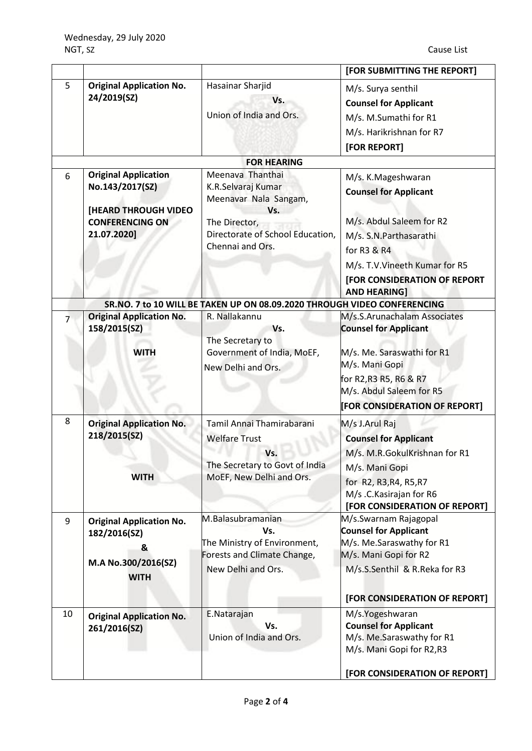|    |                                                                                                                 |                                                                                                                                                 | [FOR SUBMITTING THE REPORT]                                                                                                                                                                                       |
|----|-----------------------------------------------------------------------------------------------------------------|-------------------------------------------------------------------------------------------------------------------------------------------------|-------------------------------------------------------------------------------------------------------------------------------------------------------------------------------------------------------------------|
| 5  | <b>Original Application No.</b><br>24/2019(SZ)                                                                  | Hasainar Sharjid<br>Vs.<br>Union of India and Ors.                                                                                              | M/s. Surya senthil<br><b>Counsel for Applicant</b><br>M/s. M.Sumathi for R1<br>M/s. Harikrishnan for R7<br>[FOR REPORT]                                                                                           |
|    |                                                                                                                 | <b>FOR HEARING</b>                                                                                                                              |                                                                                                                                                                                                                   |
| 6  | <b>Original Application</b><br>No.143/2017(SZ)<br>[HEARD THROUGH VIDEO<br><b>CONFERENCING ON</b><br>21.07.2020] | Meenava Thanthai<br>K.R.Selvaraj Kumar<br>Meenavar Nala Sangam,<br>Vs.<br>The Director,<br>Directorate of School Education,<br>Chennai and Ors. | M/s. K.Mageshwaran<br><b>Counsel for Applicant</b><br>M/s. Abdul Saleem for R2<br>M/s. S.N. Parthasarathi<br>for R3 & R4<br>M/s. T.V. Vineeth Kumar for R5<br>[FOR CONSIDERATION OF REPORT<br><b>AND HEARING]</b> |
|    |                                                                                                                 | SR.NO. 7 to 10 WILL BE TAKEN UP ON 08.09.2020 THROUGH VIDEO CONFERENCING                                                                        |                                                                                                                                                                                                                   |
|    | <b>Original Application No.</b><br>158/2015(SZ)                                                                 | R. Nallakannu<br>Vs.<br>The Secretary to                                                                                                        | M/s.S.Arunachalam Associates<br><b>Counsel for Applicant</b>                                                                                                                                                      |
|    | WITH                                                                                                            | Government of India, MoEF,<br>New Delhi and Ors.                                                                                                | M/s. Me. Saraswathi for R1<br>M/s. Mani Gopi<br>for R2, R3 R5, R6 & R7<br>M/s. Abdul Saleem for R5<br>[FOR CONSIDERATION OF REPORT]                                                                               |
| 8  | <b>Original Application No.</b><br>218/2015(SZ)<br><b>WITH</b>                                                  | Tamil Annai Thamirabarani<br><b>Welfare Trust</b><br>Vs.<br>The Secretary to Govt of India<br>MoEF, New Delhi and Ors.                          | M/s J.Arul Raj<br><b>Counsel for Applicant</b><br>M/s. M.R.GokulKrishnan for R1<br>M/s. Mani Gopi<br>for R2, R3, R4, R5, R7<br>M/s .C.Kasirajan for R6<br>[FOR CONSIDERATION OF REPORT]                           |
| 9  | <b>Original Application No.</b><br>182/2016(SZ)<br>&<br>M.A No.300/2016(SZ)<br><b>WITH</b>                      | M.Balasubramanian<br>Vs.<br>The Ministry of Environment,<br>Forests and Climate Change,<br>New Delhi and Ors.                                   | M/s.Swarnam Rajagopal<br><b>Counsel for Applicant</b><br>M/s. Me.Saraswathy for R1<br>M/s. Mani Gopi for R2<br>M/s.S.Senthil & R.Reka for R3<br>[FOR CONSIDERATION OF REPORT]                                     |
| 10 | <b>Original Application No.</b><br>261/2016(SZ)                                                                 | E.Natarajan<br>Vs.<br>Union of India and Ors.                                                                                                   | M/s.Yogeshwaran<br><b>Counsel for Applicant</b><br>M/s. Me.Saraswathy for R1<br>M/s. Mani Gopi for R2,R3<br>[FOR CONSIDERATION OF REPORT]                                                                         |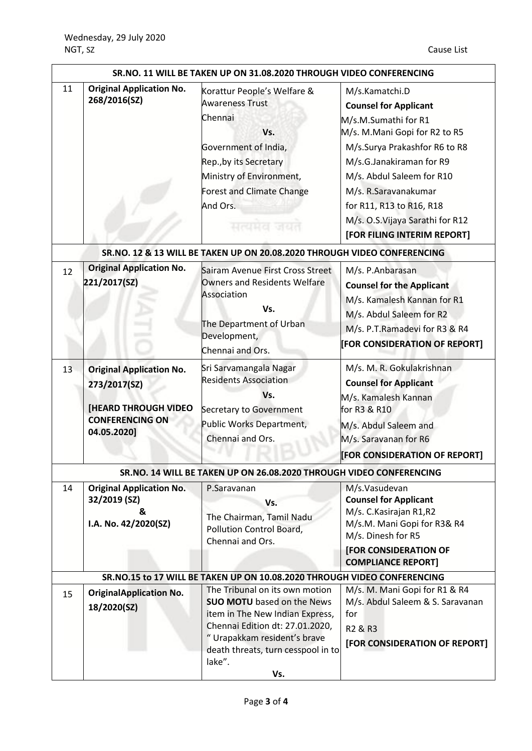| SR.NO. 11 WILL BE TAKEN UP ON 31.08.2020 THROUGH VIDEO CONFERENCING      |                                                                                                                         |                                                                                                                                                                                                                                  |                                                                                                                                                                                                                                                                                                                          |  |  |
|--------------------------------------------------------------------------|-------------------------------------------------------------------------------------------------------------------------|----------------------------------------------------------------------------------------------------------------------------------------------------------------------------------------------------------------------------------|--------------------------------------------------------------------------------------------------------------------------------------------------------------------------------------------------------------------------------------------------------------------------------------------------------------------------|--|--|
| 11                                                                       | <b>Original Application No.</b><br>268/2016(SZ)                                                                         | Korattur People's Welfare &<br><b>Awareness Trust</b><br>Chennai<br>Vs.<br>Government of India,<br>Rep., by its Secretary<br>Ministry of Environment,<br><b>Forest and Climate Change</b><br>And Ors.<br>सत्यमव जयत              | M/s.Kamatchi.D<br><b>Counsel for Applicant</b><br>M/s.M.Sumathi for R1<br>M/s. M.Mani Gopi for R2 to R5<br>M/s.Surya Prakashfor R6 to R8<br>M/s.G.Janakiraman for R9<br>M/s. Abdul Saleem for R10<br>M/s. R.Saravanakumar<br>for R11, R13 to R16, R18<br>M/s. O.S. Vijaya Sarathi for R12<br>[FOR FILING INTERIM REPORT] |  |  |
|                                                                          |                                                                                                                         | SR.NO. 12 & 13 WILL BE TAKEN UP ON 20.08.2020 THROUGH VIDEO CONFERENCING                                                                                                                                                         |                                                                                                                                                                                                                                                                                                                          |  |  |
| 12                                                                       | <b>Original Application No.</b><br>221/2017(SZ)                                                                         | Sairam Avenue First Cross Street<br><b>Owners and Residents Welfare</b><br>Association<br>Vs.<br>The Department of Urban<br>Development,<br>Chennai and Ors.                                                                     | M/s. P.Anbarasan<br><b>Counsel for the Applicant</b><br>M/s. Kamalesh Kannan for R1<br>M/s. Abdul Saleem for R2<br>M/s. P.T.Ramadevi for R3 & R4<br>[FOR CONSIDERATION OF REPORT]                                                                                                                                        |  |  |
| 13                                                                       | <b>Original Application No.</b><br>273/2017(SZ)<br><b>[HEARD THROUGH VIDEO</b><br><b>CONFERENCING ON</b><br>04.05.2020] | Sri Sarvamangala Nagar<br><b>Residents Association</b><br>Vs.<br>Secretary to Government<br>Public Works Department,<br>Chennai and Ors.                                                                                         | M/s. M. R. Gokulakrishnan<br><b>Counsel for Applicant</b><br>M/s. Kamalesh Kannan<br>for R3 & R10<br>M/s. Abdul Saleem and<br>M/s. Saravanan for R6<br>[FOR CONSIDERATION OF REPORT]                                                                                                                                     |  |  |
|                                                                          |                                                                                                                         | SR.NO. 14 WILL BE TAKEN UP ON 26.08.2020 THROUGH VIDEO CONFERENCING                                                                                                                                                              |                                                                                                                                                                                                                                                                                                                          |  |  |
| 14                                                                       | <b>Original Application No.</b><br>32/2019 (SZ)<br>&<br>I.A. No. 42/2020(SZ)                                            | P.Saravanan<br>Vs.<br>The Chairman, Tamil Nadu<br>Pollution Control Board,<br>Chennai and Ors.                                                                                                                                   | M/s.Vasudevan<br><b>Counsel for Applicant</b><br>M/s. C. Kasirajan R1, R2<br>M/s.M. Mani Gopi for R3& R4<br>M/s. Dinesh for R5<br><b>[FOR CONSIDERATION OF</b><br><b>COMPLIANCE REPORT]</b>                                                                                                                              |  |  |
| SR.NO.15 to 17 WILL BE TAKEN UP ON 10.08.2020 THROUGH VIDEO CONFERENCING |                                                                                                                         |                                                                                                                                                                                                                                  |                                                                                                                                                                                                                                                                                                                          |  |  |
| 15                                                                       | <b>OriginalApplication No.</b><br>18/2020(SZ)                                                                           | The Tribunal on its own motion<br><b>SUO MOTU</b> based on the News<br>item in The New Indian Express,<br>Chennai Edition dt: 27.01.2020,<br>" Urapakkam resident's brave<br>death threats, turn cesspool in to<br>lake".<br>Vs. | M/s. M. Mani Gopi for R1 & R4<br>M/s. Abdul Saleem & S. Saravanan<br>for<br>R <sub>2</sub> & R <sub>3</sub><br>[FOR CONSIDERATION OF REPORT]                                                                                                                                                                             |  |  |